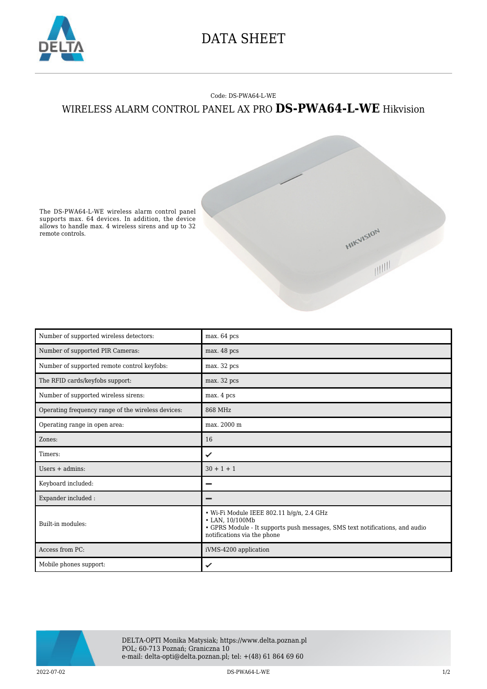

## DATA SHEET

## Code: DS-PWA64-L-WE WIRELESS ALARM CONTROL PANEL AX PRO **DS-PWA64-L-WE** Hikvision



The DS-PWA64-L-WE wireless alarm control panel supports max. 64 devices. In addition, the device allows to handle max. 4 wireless sirens and up to 32 remote controls.

| Number of supported wireless detectors:            | max. 64 pcs                                                                                                                                                                 |
|----------------------------------------------------|-----------------------------------------------------------------------------------------------------------------------------------------------------------------------------|
| Number of supported PIR Cameras:                   | max. 48 pcs                                                                                                                                                                 |
| Number of supported remote control keyfobs:        | max. 32 pcs                                                                                                                                                                 |
| The RFID cards/keyfobs support:                    | max. 32 pcs                                                                                                                                                                 |
| Number of supported wireless sirens:               | max. 4 pcs                                                                                                                                                                  |
| Operating frequency range of the wireless devices: | 868 MHz                                                                                                                                                                     |
| Operating range in open area:                      | max. 2000 m                                                                                                                                                                 |
| Zones:                                             | 16                                                                                                                                                                          |
| Timers:                                            | ✓                                                                                                                                                                           |
| Users $+$ admins:                                  | $30 + 1 + 1$                                                                                                                                                                |
| Keyboard included:                                 |                                                                                                                                                                             |
| Expander included:                                 |                                                                                                                                                                             |
| Built-in modules:                                  | · Wi-Fi Module IEEE 802.11 b/g/n, 2.4 GHz<br>• LAN, 10/100Mb<br>• GPRS Module - It supports push messages, SMS text notifications, and audio<br>notifications via the phone |
| Access from PC:                                    | iVMS-4200 application                                                                                                                                                       |
| Mobile phones support:                             | ✓                                                                                                                                                                           |



2022-07-02 DS-PWA64-L-WE 1/2